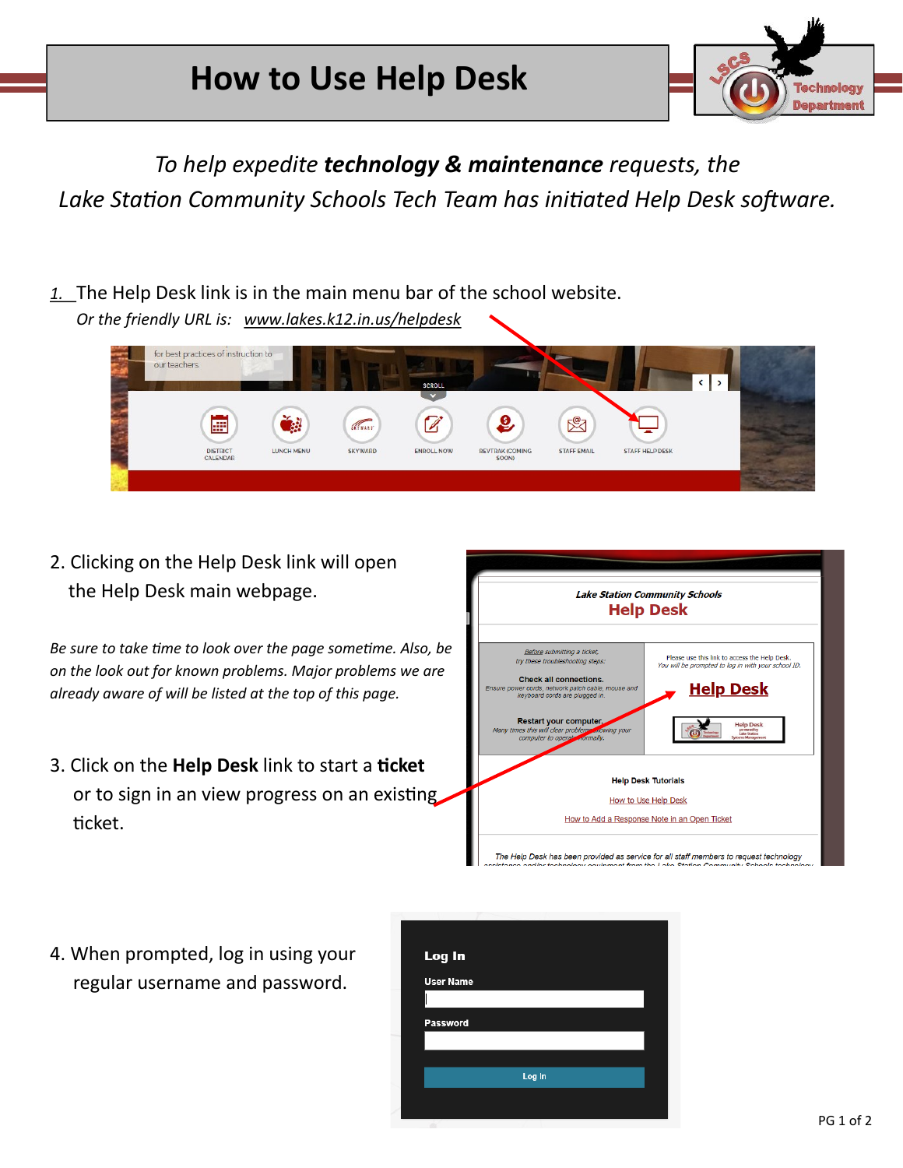

*To help expedite technology & maintenance requests, the Lake Station Community Schools Tech Team has initiated Help Desk software.*

*1.* The Help Desk link is in the main menu bar of the school website. *Or the friendly URL is: www.lakes.k12.in.us/helpdesk*



2. Clicking on the Help Desk link will open the Help Desk main webpage.

*Be sure to take time to look over the page sometime. Also, be on the look out for known problems. Major problems we are already aware of will be listed at the top of this page.* 

3. Click on the **Help Desk** link to start a **ticket** or to sign in an view progress on an existing ticket.



4. When prompted, log in using your regular username and password.

| Log In           |        |  |
|------------------|--------|--|
| <b>User Name</b> |        |  |
|                  |        |  |
| Password         |        |  |
|                  |        |  |
|                  | Log In |  |
|                  |        |  |
|                  |        |  |